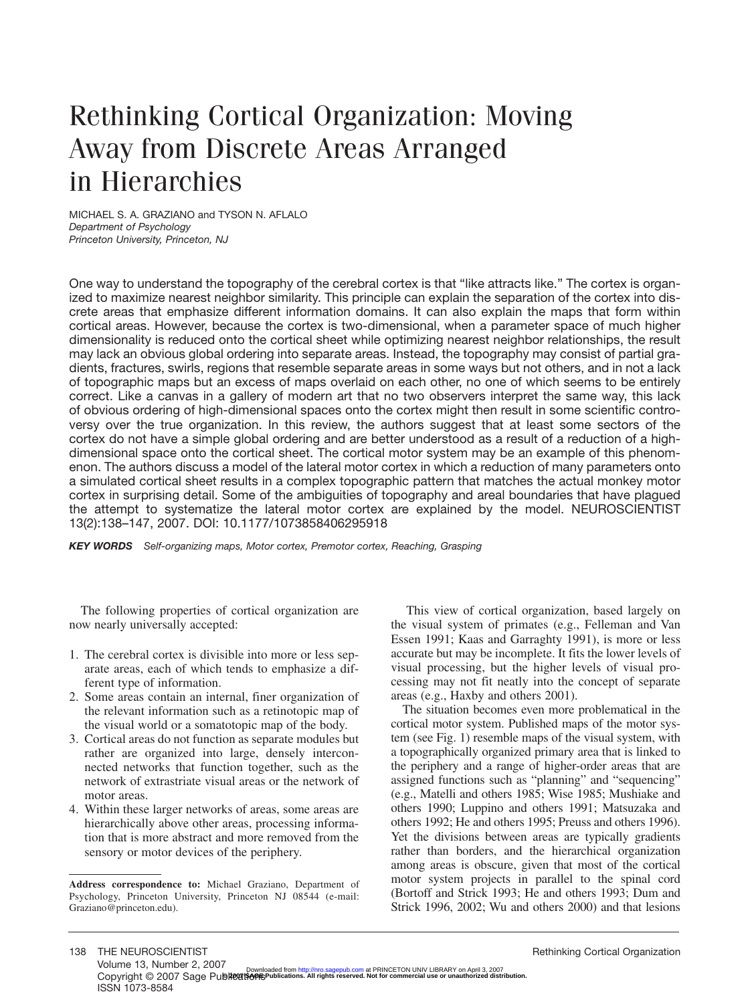# Rethinking Cortical Organization: Moving Away from Discrete Areas Arranged in Hierarchies

MICHAEL S. A. GRAZIANO and TYSON N. AFLALO *Department of Psychology Princeton University, Princeton, NJ*

One way to understand the topography of the cerebral cortex is that "like attracts like." The cortex is organized to maximize nearest neighbor similarity. This principle can explain the separation of the cortex into discrete areas that emphasize different information domains. It can also explain the maps that form within cortical areas. However, because the cortex is two-dimensional, when a parameter space of much higher dimensionality is reduced onto the cortical sheet while optimizing nearest neighbor relationships, the result may lack an obvious global ordering into separate areas. Instead, the topography may consist of partial gradients, fractures, swirls, regions that resemble separate areas in some ways but not others, and in not a lack of topographic maps but an excess of maps overlaid on each other, no one of which seems to be entirely correct. Like a canvas in a gallery of modern art that no two observers interpret the same way, this lack of obvious ordering of high-dimensional spaces onto the cortex might then result in some scientific controversy over the true organization. In this review, the authors suggest that at least some sectors of the cortex do not have a simple global ordering and are better understood as a result of a reduction of a highdimensional space onto the cortical sheet. The cortical motor system may be an example of this phenomenon. The authors discuss a model of the lateral motor cortex in which a reduction of many parameters onto a simulated cortical sheet results in a complex topographic pattern that matches the actual monkey motor cortex in surprising detail. Some of the ambiguities of topography and areal boundaries that have plagued the attempt to systematize the lateral motor cortex are explained by the model. NEUROSCIENTIST 13(2):138–147, 2007. DOI: 10.1177/1073858406295918

*KEY WORDS Self-organizing maps, Motor cortex, Premotor cortex, Reaching, Grasping*

The following properties of cortical organization are now nearly universally accepted:

- 1. The cerebral cortex is divisible into more or less separate areas, each of which tends to emphasize a different type of information.
- 2. Some areas contain an internal, finer organization of the relevant information such as a retinotopic map of the visual world or a somatotopic map of the body.
- 3. Cortical areas do not function as separate modules but rather are organized into large, densely interconnected networks that function together, such as the network of extrastriate visual areas or the network of motor areas.
- 4. Within these larger networks of areas, some areas are hierarchically above other areas, processing information that is more abstract and more removed from the sensory or motor devices of the periphery.

This view of cortical organization, based largely on the visual system of primates (e.g., Felleman and Van Essen 1991; Kaas and Garraghty 1991), is more or less accurate but may be incomplete. It fits the lower levels of visual processing, but the higher levels of visual processing may not fit neatly into the concept of separate areas (e.g., Haxby and others 2001).

The situation becomes even more problematical in the cortical motor system. Published maps of the motor system (see Fig. 1) resemble maps of the visual system, with a topographically organized primary area that is linked to the periphery and a range of higher-order areas that are assigned functions such as "planning" and "sequencing" (e.g., Matelli and others 1985; Wise 1985; Mushiake and others 1990; Luppino and others 1991; Matsuzaka and others 1992; He and others 1995; Preuss and others 1996). Yet the divisions between areas are typically gradients rather than borders, and the hierarchical organization among areas is obscure, given that most of the cortical motor system projects in parallel to the spinal cord (Bortoff and Strick 1993; He and others 1993; Dum and Strick 1996, 2002; Wu and others 2000) and that lesions

**Address correspondence to:** Michael Graziano, Department of Psychology, Princeton University, Princeton NJ 08544 (e-mail: Graziano@princeton.edu).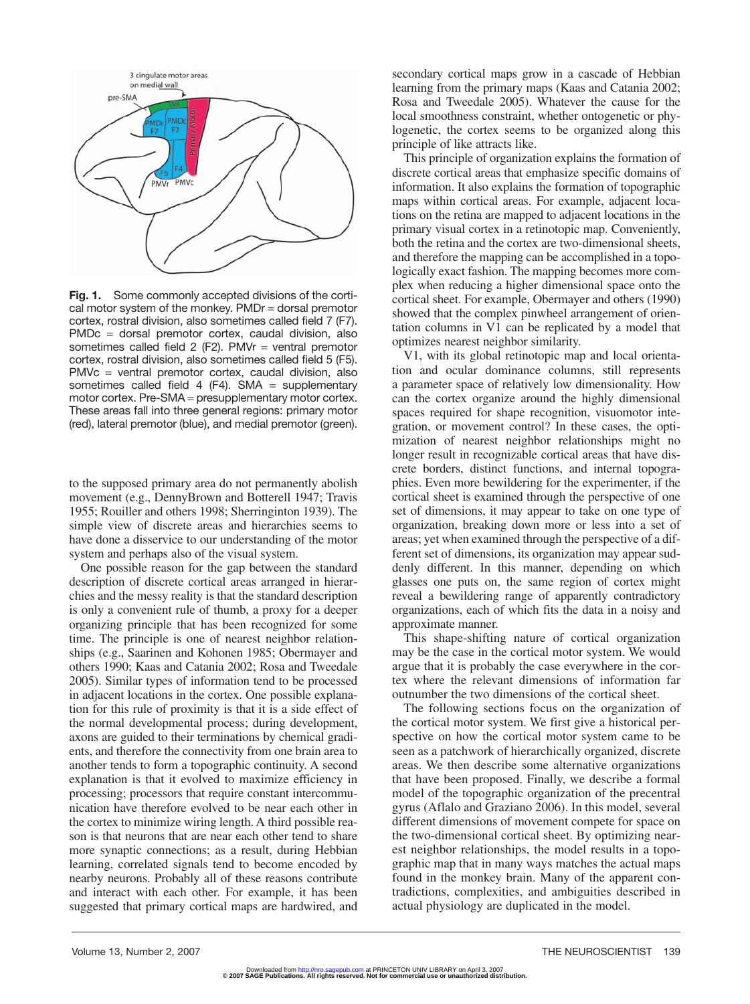

**Fig. 1.** Some commonly accepted divisions of the cortical motor system of the monkey. PMDr = dorsal premotor cortex, rostral division, also sometimes called field 7 (F7). PMDc = dorsal premotor cortex, caudal division, also sometimes called field 2 (F2). PMVr = ventral premotor cortex, rostral division, also sometimes called field 5 (F5). PMVc = ventral premotor cortex, caudal division, also sometimes called field 4 (F4). SMA = supplementary motor cortex. Pre-SMA = presupplementary motor cortex. These areas fall into three general regions: primary motor (red), lateral premotor (blue), and medial premotor (green).

to the supposed primary area do not permanently abolish movement (e.g., DennyBrown and Botterell 1947; Travis 1955; Rouiller and others 1998; Sherringinton 1939). The simple view of discrete areas and hierarchies seems to have done a disservice to our understanding of the motor system and perhaps also of the visual system.

One possible reason for the gap between the standard description of discrete cortical areas arranged in hierarchies and the messy reality is that the standard description is only a convenient rule of thumb, a proxy for a deeper organizing principle that has been recognized for some time. The principle is one of nearest neighbor relationships (e.g., Saarinen and Kohonen 1985; Obermayer and others 1990; Kaas and Catania 2002; Rosa and Tweedale 2005). Similar types of information tend to be processed in adjacent locations in the cortex. One possible explanation for this rule of proximity is that it is a side effect of the normal developmental process; during development, axons are guided to their terminations by chemical gradients, and therefore the connectivity from one brain area to another tends to form a topographic continuity. A second explanation is that it evolved to maximize efficiency in processing; processors that require constant intercommunication have therefore evolved to be near each other in the cortex to minimize wiring length. A third possible reason is that neurons that are near each other tend to share more synaptic connections; as a result, during Hebbian learning, correlated signals tend to become encoded by nearby neurons. Probably all of these reasons contribute and interact with each other. For example, it has been suggested that primary cortical maps are hardwired, and

secondary cortical maps grow in a cascade of Hebbian learning from the primary maps (Kaas and Catania 2002; Rosa and Tweedale 2005). Whatever the cause for the local smoothness constraint, whether ontogenetic or phylogenetic, the cortex seems to be organized along this principle of like attracts like.

This principle of organization explains the formation of discrete cortical areas that emphasize specific domains of information. It also explains the formation of topographic maps within cortical areas. For example, adjacent locations on the retina are mapped to adjacent locations in the primary visual cortex in a retinotopic map. Conveniently, both the retina and the cortex are two-dimensional sheets, and therefore the mapping can be accomplished in a topologically exact fashion. The mapping becomes more complex when reducing a higher dimensional space onto the cortical sheet. For example, Obermayer and others (1990) showed that the complex pinwheel arrangement of orientation columns in V1 can be replicated by a model that optimizes nearest neighbor similarity.

V1, with its global retinotopic map and local orientation and ocular dominance columns, still represents a parameter space of relatively low dimensionality. How can the cortex organize around the highly dimensional spaces required for shape recognition, visuomotor integration, or movement control? In these cases, the optimization of nearest neighbor relationships might no longer result in recognizable cortical areas that have discrete borders, distinct functions, and internal topographies. Even more bewildering for the experimenter, if the cortical sheet is examined through the perspective of one set of dimensions, it may appear to take on one type of organization, breaking down more or less into a set of areas; yet when examined through the perspective of a different set of dimensions, its organization may appear suddenly different. In this manner, depending on which glasses one puts on, the same region of cortex might reveal a bewildering range of apparently contradictory organizations, each of which fits the data in a noisy and approximate manner.

This shape-shifting nature of cortical organization may be the case in the cortical motor system. We would argue that it is probably the case everywhere in the cortex where the relevant dimensions of information far outnumber the two dimensions of the cortical sheet.

The following sections focus on the organization of the cortical motor system. We first give a historical perspective on how the cortical motor system came to be seen as a patchwork of hierarchically organized, discrete areas. We then describe some alternative organizations that have been proposed. Finally, we describe a formal model of the topographic organization of the precentral gyrus (Aflalo and Graziano 2006). In this model, several different dimensions of movement compete for space on the two-dimensional cortical sheet. By optimizing nearest neighbor relationships, the model results in a topographic map that in many ways matches the actual maps found in the monkey brain. Many of the apparent contradictions, complexities, and ambiguities described in actual physiology are duplicated in the model.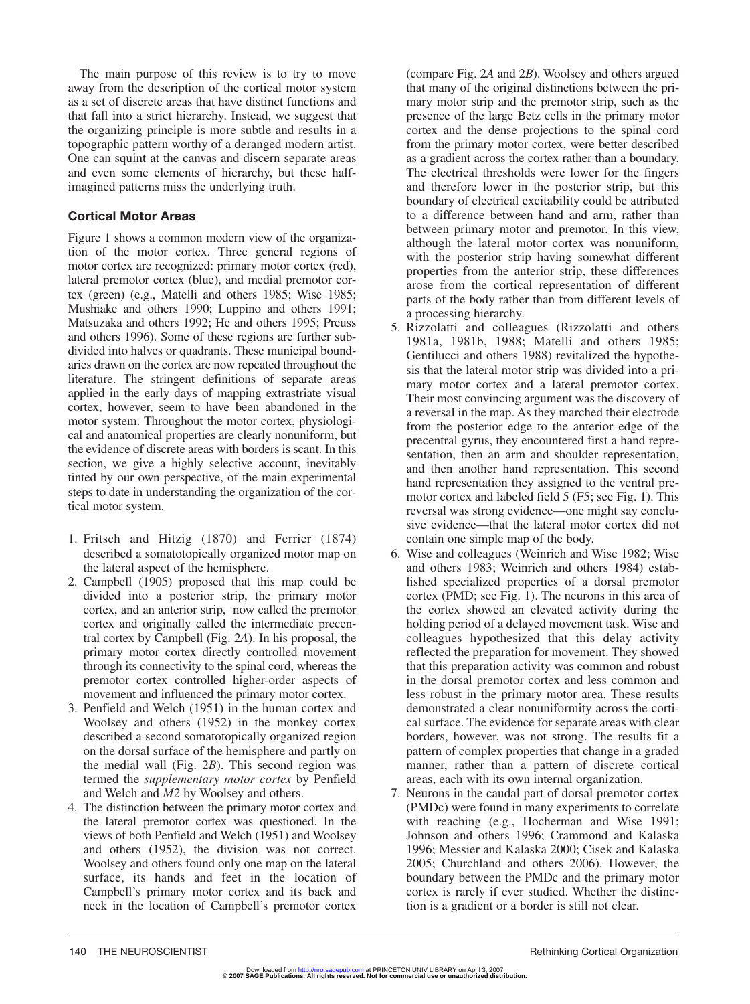The main purpose of this review is to try to move away from the description of the cortical motor system as a set of discrete areas that have distinct functions and that fall into a strict hierarchy. Instead, we suggest that the organizing principle is more subtle and results in a topographic pattern worthy of a deranged modern artist. One can squint at the canvas and discern separate areas and even some elements of hierarchy, but these halfimagined patterns miss the underlying truth.

## **Cortical Motor Areas**

Figure 1 shows a common modern view of the organization of the motor cortex. Three general regions of motor cortex are recognized: primary motor cortex (red), lateral premotor cortex (blue), and medial premotor cortex (green) (e.g., Matelli and others 1985; Wise 1985; Mushiake and others 1990; Luppino and others 1991; Matsuzaka and others 1992; He and others 1995; Preuss and others 1996). Some of these regions are further subdivided into halves or quadrants. These municipal boundaries drawn on the cortex are now repeated throughout the literature. The stringent definitions of separate areas applied in the early days of mapping extrastriate visual cortex, however, seem to have been abandoned in the motor system. Throughout the motor cortex, physiological and anatomical properties are clearly nonuniform, but the evidence of discrete areas with borders is scant. In this section, we give a highly selective account, inevitably tinted by our own perspective, of the main experimental steps to date in understanding the organization of the cortical motor system.

- 1. Fritsch and Hitzig (1870) and Ferrier (1874) described a somatotopically organized motor map on the lateral aspect of the hemisphere.
- 2. Campbell (1905) proposed that this map could be divided into a posterior strip, the primary motor cortex, and an anterior strip, now called the premotor cortex and originally called the intermediate precentral cortex by Campbell (Fig. 2*A*). In his proposal, the primary motor cortex directly controlled movement through its connectivity to the spinal cord, whereas the premotor cortex controlled higher-order aspects of movement and influenced the primary motor cortex.
- 3. Penfield and Welch (1951) in the human cortex and Woolsey and others (1952) in the monkey cortex described a second somatotopically organized region on the dorsal surface of the hemisphere and partly on the medial wall (Fig. 2*B*). This second region was termed the *supplementary motor cortex* by Penfield and Welch and *M2* by Woolsey and others.
- 4. The distinction between the primary motor cortex and the lateral premotor cortex was questioned. In the views of both Penfield and Welch (1951) and Woolsey and others (1952), the division was not correct. Woolsey and others found only one map on the lateral surface, its hands and feet in the location of Campbell's primary motor cortex and its back and neck in the location of Campbell's premotor cortex

(compare Fig. 2*A* and 2*B*). Woolsey and others argued that many of the original distinctions between the primary motor strip and the premotor strip, such as the presence of the large Betz cells in the primary motor cortex and the dense projections to the spinal cord from the primary motor cortex, were better described as a gradient across the cortex rather than a boundary. The electrical thresholds were lower for the fingers and therefore lower in the posterior strip, but this boundary of electrical excitability could be attributed to a difference between hand and arm, rather than between primary motor and premotor. In this view, although the lateral motor cortex was nonuniform, with the posterior strip having somewhat different properties from the anterior strip, these differences arose from the cortical representation of different parts of the body rather than from different levels of a processing hierarchy.

- 5. Rizzolatti and colleagues (Rizzolatti and others 1981a, 1981b, 1988; Matelli and others 1985; Gentilucci and others 1988) revitalized the hypothesis that the lateral motor strip was divided into a primary motor cortex and a lateral premotor cortex. Their most convincing argument was the discovery of a reversal in the map. As they marched their electrode from the posterior edge to the anterior edge of the precentral gyrus, they encountered first a hand representation, then an arm and shoulder representation, and then another hand representation. This second hand representation they assigned to the ventral premotor cortex and labeled field 5 (F5; see Fig. 1). This reversal was strong evidence—one might say conclusive evidence—that the lateral motor cortex did not contain one simple map of the body.
- 6. Wise and colleagues (Weinrich and Wise 1982; Wise and others 1983; Weinrich and others 1984) established specialized properties of a dorsal premotor cortex (PMD; see Fig. 1). The neurons in this area of the cortex showed an elevated activity during the holding period of a delayed movement task. Wise and colleagues hypothesized that this delay activity reflected the preparation for movement. They showed that this preparation activity was common and robust in the dorsal premotor cortex and less common and less robust in the primary motor area. These results demonstrated a clear nonuniformity across the cortical surface. The evidence for separate areas with clear borders, however, was not strong. The results fit a pattern of complex properties that change in a graded manner, rather than a pattern of discrete cortical areas, each with its own internal organization.
- 7. Neurons in the caudal part of dorsal premotor cortex (PMDc) were found in many experiments to correlate with reaching (e.g., Hocherman and Wise 1991; Johnson and others 1996; Crammond and Kalaska 1996; Messier and Kalaska 2000; Cisek and Kalaska 2005; Churchland and others 2006). However, the boundary between the PMDc and the primary motor cortex is rarely if ever studied. Whether the distinction is a gradient or a border is still not clear.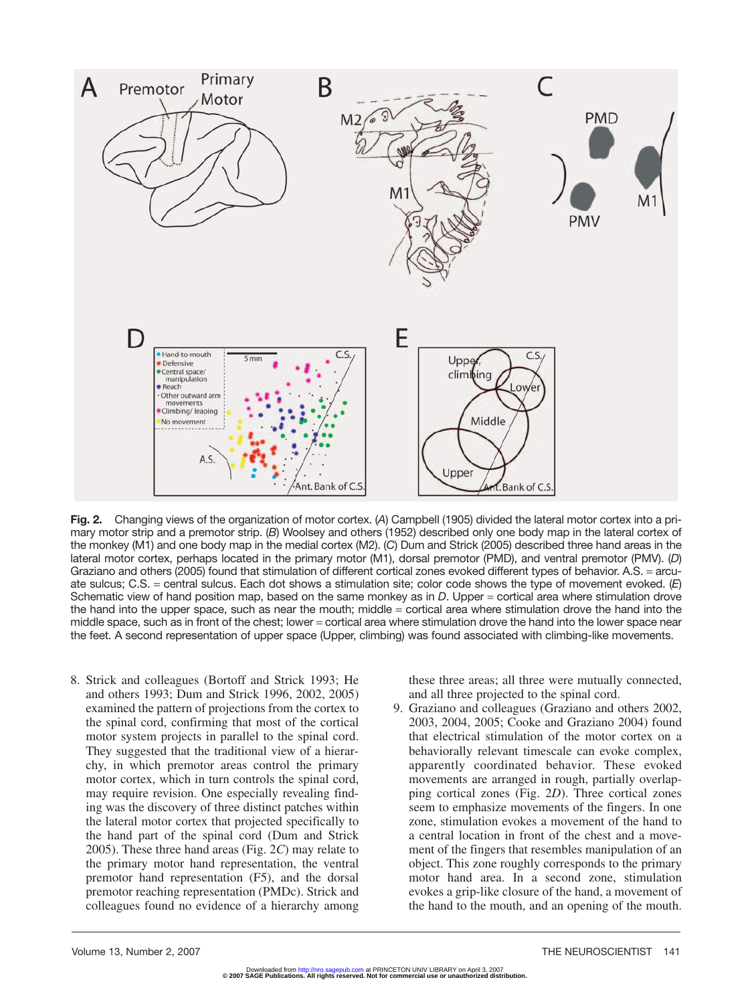

**Fig. 2.** Changing views of the organization of motor cortex. (*A*) Campbell (1905) divided the lateral motor cortex into a primary motor strip and a premotor strip. (*B*) Woolsey and others (1952) described only one body map in the lateral cortex of the monkey (M1) and one body map in the medial cortex (M2). (*C*) Dum and Strick (2005) described three hand areas in the lateral motor cortex, perhaps located in the primary motor (M1), dorsal premotor (PMD), and ventral premotor (PMV). (*D*) Graziano and others (2005) found that stimulation of different cortical zones evoked different types of behavior. A.S. = arcuate sulcus; C.S. = central sulcus. Each dot shows a stimulation site; color code shows the type of movement evoked. (*E*) Schematic view of hand position map, based on the same monkey as in *D*. Upper = cortical area where stimulation drove the hand into the upper space, such as near the mouth; middle = cortical area where stimulation drove the hand into the middle space, such as in front of the chest; lower = cortical area where stimulation drove the hand into the lower space near the feet. A second representation of upper space (Upper, climbing) was found associated with climbing-like movements.

8. Strick and colleagues (Bortoff and Strick 1993; He and others 1993; Dum and Strick 1996, 2002, 2005) examined the pattern of projections from the cortex to the spinal cord, confirming that most of the cortical motor system projects in parallel to the spinal cord. They suggested that the traditional view of a hierarchy, in which premotor areas control the primary motor cortex, which in turn controls the spinal cord, may require revision. One especially revealing finding was the discovery of three distinct patches within the lateral motor cortex that projected specifically to the hand part of the spinal cord (Dum and Strick 2005). These three hand areas (Fig. 2*C*) may relate to the primary motor hand representation, the ventral premotor hand representation (F5), and the dorsal premotor reaching representation (PMDc). Strick and colleagues found no evidence of a hierarchy among

these three areas; all three were mutually connected, and all three projected to the spinal cord.

9. Graziano and colleagues (Graziano and others 2002, 2003, 2004, 2005; Cooke and Graziano 2004) found that electrical stimulation of the motor cortex on a behaviorally relevant timescale can evoke complex, apparently coordinated behavior. These evoked movements are arranged in rough, partially overlapping cortical zones (Fig. 2*D*). Three cortical zones seem to emphasize movements of the fingers. In one zone, stimulation evokes a movement of the hand to a central location in front of the chest and a movement of the fingers that resembles manipulation of an object. This zone roughly corresponds to the primary motor hand area. In a second zone, stimulation evokes a grip-like closure of the hand, a movement of the hand to the mouth, and an opening of the mouth.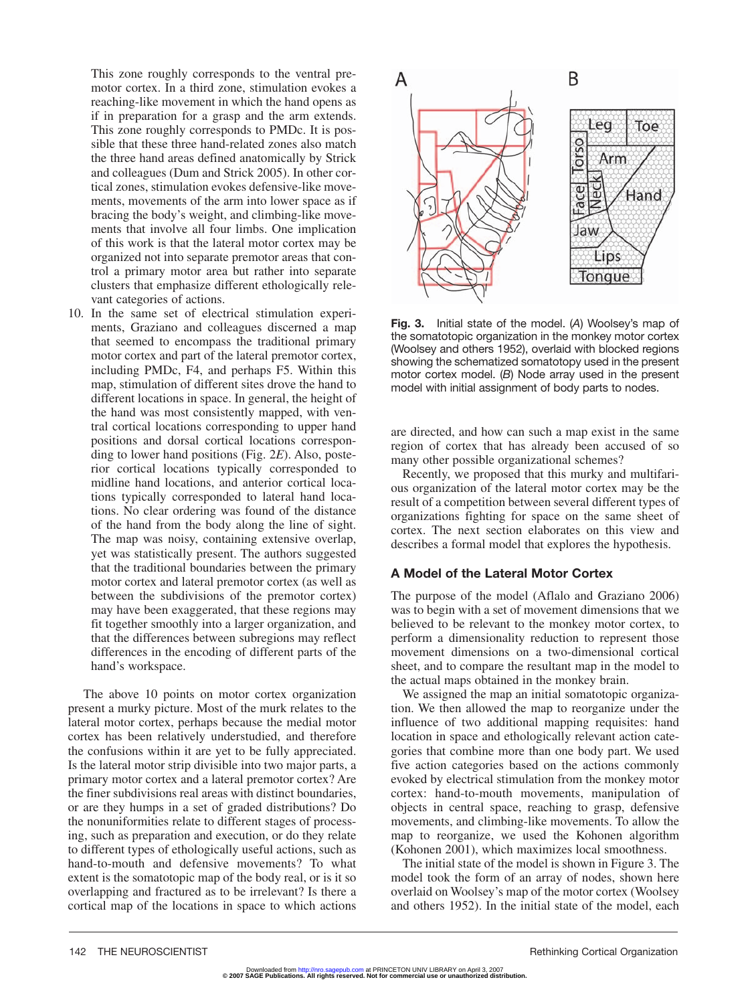This zone roughly corresponds to the ventral premotor cortex. In a third zone, stimulation evokes a reaching-like movement in which the hand opens as if in preparation for a grasp and the arm extends. This zone roughly corresponds to PMDc. It is possible that these three hand-related zones also match the three hand areas defined anatomically by Strick and colleagues (Dum and Strick 2005). In other cortical zones, stimulation evokes defensive-like movements, movements of the arm into lower space as if bracing the body's weight, and climbing-like movements that involve all four limbs. One implication of this work is that the lateral motor cortex may be organized not into separate premotor areas that control a primary motor area but rather into separate clusters that emphasize different ethologically relevant categories of actions.

10. In the same set of electrical stimulation experiments, Graziano and colleagues discerned a map that seemed to encompass the traditional primary motor cortex and part of the lateral premotor cortex, including PMDc, F4, and perhaps F5. Within this map, stimulation of different sites drove the hand to different locations in space. In general, the height of the hand was most consistently mapped, with ventral cortical locations corresponding to upper hand positions and dorsal cortical locations corresponding to lower hand positions (Fig. 2*E*). Also, posterior cortical locations typically corresponded to midline hand locations, and anterior cortical locations typically corresponded to lateral hand locations. No clear ordering was found of the distance of the hand from the body along the line of sight. The map was noisy, containing extensive overlap, yet was statistically present. The authors suggested that the traditional boundaries between the primary motor cortex and lateral premotor cortex (as well as between the subdivisions of the premotor cortex) may have been exaggerated, that these regions may fit together smoothly into a larger organization, and that the differences between subregions may reflect differences in the encoding of different parts of the hand's workspace.

The above 10 points on motor cortex organization present a murky picture. Most of the murk relates to the lateral motor cortex, perhaps because the medial motor cortex has been relatively understudied, and therefore the confusions within it are yet to be fully appreciated. Is the lateral motor strip divisible into two major parts, a primary motor cortex and a lateral premotor cortex? Are the finer subdivisions real areas with distinct boundaries, or are they humps in a set of graded distributions? Do the nonuniformities relate to different stages of processing, such as preparation and execution, or do they relate to different types of ethologically useful actions, such as hand-to-mouth and defensive movements? To what extent is the somatotopic map of the body real, or is it so overlapping and fractured as to be irrelevant? Is there a cortical map of the locations in space to which actions



**Fig. 3.** Initial state of the model. (*A*) Woolsey's map of the somatotopic organization in the monkey motor cortex (Woolsey and others 1952), overlaid with blocked regions showing the schematized somatotopy used in the present motor cortex model. (*B*) Node array used in the present model with initial assignment of body parts to nodes.

are directed, and how can such a map exist in the same region of cortex that has already been accused of so many other possible organizational schemes?

Recently, we proposed that this murky and multifarious organization of the lateral motor cortex may be the result of a competition between several different types of organizations fighting for space on the same sheet of cortex. The next section elaborates on this view and describes a formal model that explores the hypothesis.

### **A Model of the Lateral Motor Cortex**

The purpose of the model (Aflalo and Graziano 2006) was to begin with a set of movement dimensions that we believed to be relevant to the monkey motor cortex, to perform a dimensionality reduction to represent those movement dimensions on a two-dimensional cortical sheet, and to compare the resultant map in the model to the actual maps obtained in the monkey brain.

We assigned the map an initial somatotopic organization. We then allowed the map to reorganize under the influence of two additional mapping requisites: hand location in space and ethologically relevant action categories that combine more than one body part. We used five action categories based on the actions commonly evoked by electrical stimulation from the monkey motor cortex: hand-to-mouth movements, manipulation of objects in central space, reaching to grasp, defensive movements, and climbing-like movements. To allow the map to reorganize, we used the Kohonen algorithm (Kohonen 2001), which maximizes local smoothness.

The initial state of the model is shown in Figure 3. The model took the form of an array of nodes, shown here overlaid on Woolsey's map of the motor cortex (Woolsey and others 1952). In the initial state of the model, each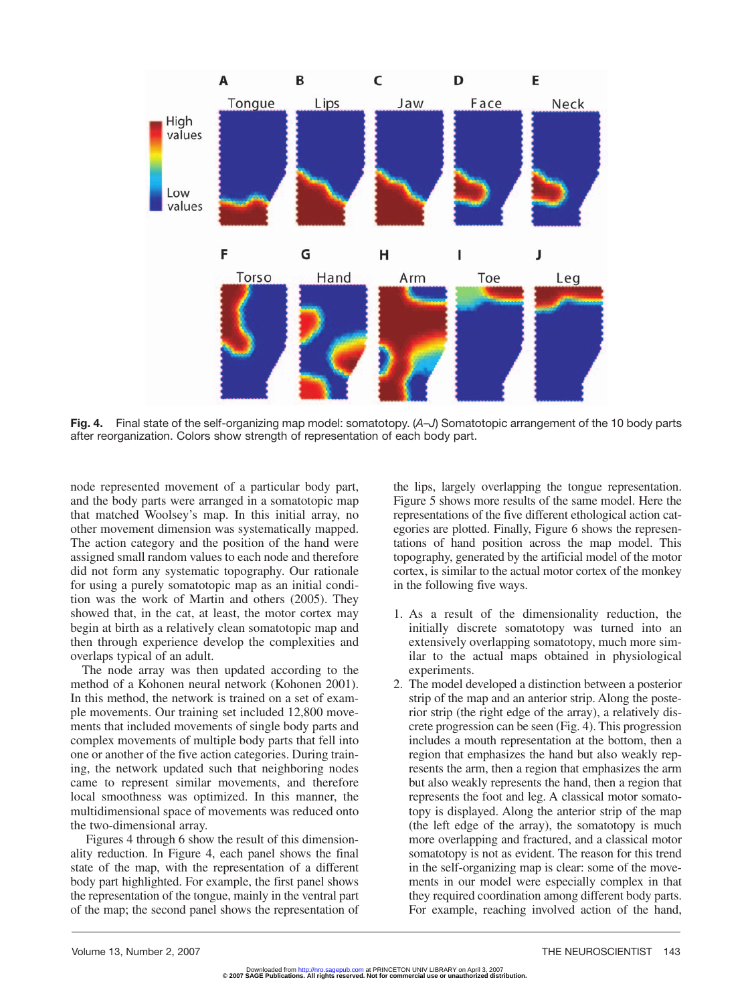

**Fig. 4.** Final state of the self-organizing map model: somatotopy. (*A*–*J*) Somatotopic arrangement of the 10 body parts after reorganization. Colors show strength of representation of each body part.

node represented movement of a particular body part, and the body parts were arranged in a somatotopic map that matched Woolsey's map. In this initial array, no other movement dimension was systematically mapped. The action category and the position of the hand were assigned small random values to each node and therefore did not form any systematic topography. Our rationale for using a purely somatotopic map as an initial condition was the work of Martin and others (2005). They showed that, in the cat, at least, the motor cortex may begin at birth as a relatively clean somatotopic map and then through experience develop the complexities and overlaps typical of an adult.

The node array was then updated according to the method of a Kohonen neural network (Kohonen 2001). In this method, the network is trained on a set of example movements. Our training set included 12,800 movements that included movements of single body parts and complex movements of multiple body parts that fell into one or another of the five action categories. During training, the network updated such that neighboring nodes came to represent similar movements, and therefore local smoothness was optimized. In this manner, the multidimensional space of movements was reduced onto the two-dimensional array.

Figures 4 through 6 show the result of this dimensionality reduction. In Figure 4, each panel shows the final state of the map, with the representation of a different body part highlighted. For example, the first panel shows the representation of the tongue, mainly in the ventral part of the map; the second panel shows the representation of the lips, largely overlapping the tongue representation. Figure 5 shows more results of the same model. Here the representations of the five different ethological action categories are plotted. Finally, Figure 6 shows the representations of hand position across the map model. This topography, generated by the artificial model of the motor cortex, is similar to the actual motor cortex of the monkey in the following five ways.

- 1. As a result of the dimensionality reduction, the initially discrete somatotopy was turned into an extensively overlapping somatotopy, much more similar to the actual maps obtained in physiological experiments.
- 2. The model developed a distinction between a posterior strip of the map and an anterior strip. Along the posterior strip (the right edge of the array), a relatively discrete progression can be seen (Fig. 4). This progression includes a mouth representation at the bottom, then a region that emphasizes the hand but also weakly represents the arm, then a region that emphasizes the arm but also weakly represents the hand, then a region that represents the foot and leg. A classical motor somatotopy is displayed. Along the anterior strip of the map (the left edge of the array), the somatotopy is much more overlapping and fractured, and a classical motor somatotopy is not as evident. The reason for this trend in the self-organizing map is clear: some of the movements in our model were especially complex in that they required coordination among different body parts. For example, reaching involved action of the hand,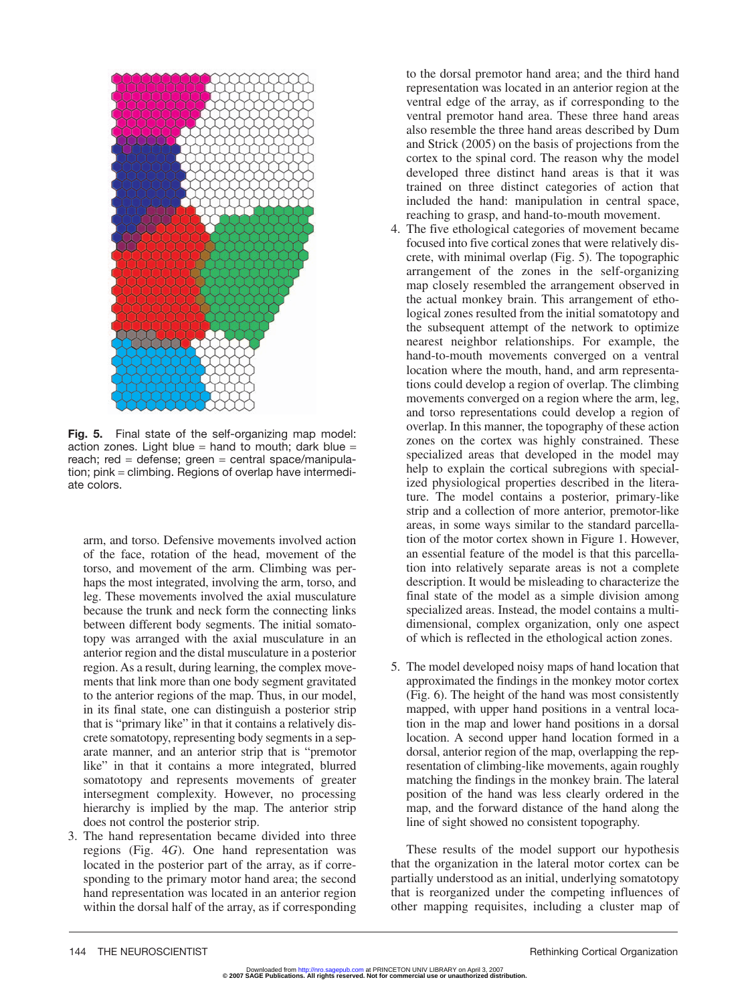

**Fig. 5.** Final state of the self-organizing map model: action zones. Light blue = hand to mouth; dark blue = reach;  $red = defense$ ; green = central space/manipulation; pink = climbing. Regions of overlap have intermediate colors.

arm, and torso. Defensive movements involved action of the face, rotation of the head, movement of the torso, and movement of the arm. Climbing was perhaps the most integrated, involving the arm, torso, and leg. These movements involved the axial musculature because the trunk and neck form the connecting links between different body segments. The initial somatotopy was arranged with the axial musculature in an anterior region and the distal musculature in a posterior region. As a result, during learning, the complex movements that link more than one body segment gravitated to the anterior regions of the map. Thus, in our model, in its final state, one can distinguish a posterior strip that is "primary like" in that it contains a relatively discrete somatotopy, representing body segments in a separate manner, and an anterior strip that is "premotor like" in that it contains a more integrated, blurred somatotopy and represents movements of greater intersegment complexity. However, no processing hierarchy is implied by the map. The anterior strip does not control the posterior strip.

3. The hand representation became divided into three regions (Fig. 4*G*). One hand representation was located in the posterior part of the array, as if corresponding to the primary motor hand area; the second hand representation was located in an anterior region within the dorsal half of the array, as if corresponding

to the dorsal premotor hand area; and the third hand representation was located in an anterior region at the ventral edge of the array, as if corresponding to the ventral premotor hand area. These three hand areas also resemble the three hand areas described by Dum and Strick (2005) on the basis of projections from the cortex to the spinal cord. The reason why the model developed three distinct hand areas is that it was trained on three distinct categories of action that included the hand: manipulation in central space, reaching to grasp, and hand-to-mouth movement.

- 4. The five ethological categories of movement became focused into five cortical zones that were relatively discrete, with minimal overlap (Fig. 5). The topographic arrangement of the zones in the self-organizing map closely resembled the arrangement observed in the actual monkey brain. This arrangement of ethological zones resulted from the initial somatotopy and the subsequent attempt of the network to optimize nearest neighbor relationships. For example, the hand-to-mouth movements converged on a ventral location where the mouth, hand, and arm representations could develop a region of overlap. The climbing movements converged on a region where the arm, leg, and torso representations could develop a region of overlap. In this manner, the topography of these action zones on the cortex was highly constrained. These specialized areas that developed in the model may help to explain the cortical subregions with specialized physiological properties described in the literature. The model contains a posterior, primary-like strip and a collection of more anterior, premotor-like areas, in some ways similar to the standard parcellation of the motor cortex shown in Figure 1. However, an essential feature of the model is that this parcellation into relatively separate areas is not a complete description. It would be misleading to characterize the final state of the model as a simple division among specialized areas. Instead, the model contains a multidimensional, complex organization, only one aspect of which is reflected in the ethological action zones.
- 5. The model developed noisy maps of hand location that approximated the findings in the monkey motor cortex (Fig. 6). The height of the hand was most consistently mapped, with upper hand positions in a ventral location in the map and lower hand positions in a dorsal location. A second upper hand location formed in a dorsal, anterior region of the map, overlapping the representation of climbing-like movements, again roughly matching the findings in the monkey brain. The lateral position of the hand was less clearly ordered in the map, and the forward distance of the hand along the line of sight showed no consistent topography.

These results of the model support our hypothesis that the organization in the lateral motor cortex can be partially understood as an initial, underlying somatotopy that is reorganized under the competing influences of other mapping requisites, including a cluster map of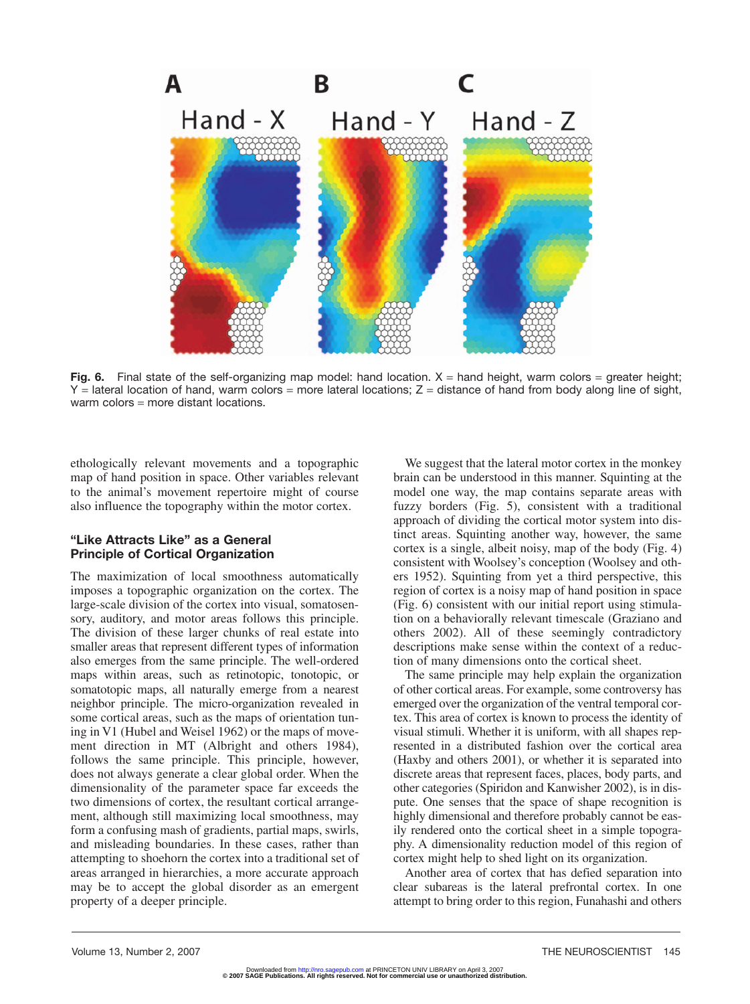

**Fig. 6.** Final state of the self-organizing map model: hand location. X = hand height, warm colors = greater height;  $Y =$  lateral location of hand, warm colors = more lateral locations;  $Z =$  distance of hand from body along line of sight, warm colors  $=$  more distant locations.

ethologically relevant movements and a topographic map of hand position in space. Other variables relevant to the animal's movement repertoire might of course also influence the topography within the motor cortex.

#### **"Like Attracts Like" as a General Principle of Cortical Organization**

The maximization of local smoothness automatically imposes a topographic organization on the cortex. The large-scale division of the cortex into visual, somatosensory, auditory, and motor areas follows this principle. The division of these larger chunks of real estate into smaller areas that represent different types of information also emerges from the same principle. The well-ordered maps within areas, such as retinotopic, tonotopic, or somatotopic maps, all naturally emerge from a nearest neighbor principle. The micro-organization revealed in some cortical areas, such as the maps of orientation tuning in V1 (Hubel and Weisel 1962) or the maps of movement direction in MT (Albright and others 1984), follows the same principle. This principle, however, does not always generate a clear global order. When the dimensionality of the parameter space far exceeds the two dimensions of cortex, the resultant cortical arrangement, although still maximizing local smoothness, may form a confusing mash of gradients, partial maps, swirls, and misleading boundaries. In these cases, rather than attempting to shoehorn the cortex into a traditional set of areas arranged in hierarchies, a more accurate approach may be to accept the global disorder as an emergent property of a deeper principle.

We suggest that the lateral motor cortex in the monkey brain can be understood in this manner. Squinting at the model one way, the map contains separate areas with fuzzy borders (Fig. 5), consistent with a traditional approach of dividing the cortical motor system into distinct areas. Squinting another way, however, the same cortex is a single, albeit noisy, map of the body (Fig. 4) consistent with Woolsey's conception (Woolsey and others 1952). Squinting from yet a third perspective, this region of cortex is a noisy map of hand position in space (Fig. 6) consistent with our initial report using stimulation on a behaviorally relevant timescale (Graziano and others 2002). All of these seemingly contradictory descriptions make sense within the context of a reduction of many dimensions onto the cortical sheet.

The same principle may help explain the organization of other cortical areas. For example, some controversy has emerged over the organization of the ventral temporal cortex. This area of cortex is known to process the identity of visual stimuli. Whether it is uniform, with all shapes represented in a distributed fashion over the cortical area (Haxby and others 2001), or whether it is separated into discrete areas that represent faces, places, body parts, and other categories (Spiridon and Kanwisher 2002), is in dispute. One senses that the space of shape recognition is highly dimensional and therefore probably cannot be easily rendered onto the cortical sheet in a simple topography. A dimensionality reduction model of this region of cortex might help to shed light on its organization.

Another area of cortex that has defied separation into clear subareas is the lateral prefrontal cortex. In one attempt to bring order to this region, Funahashi and others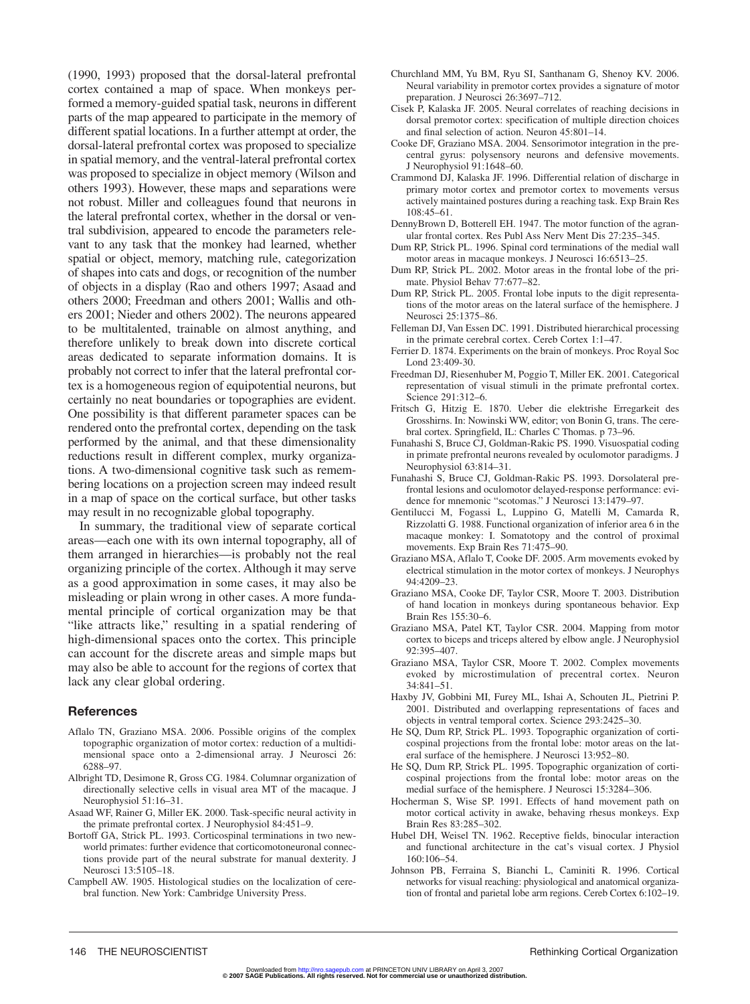(1990, 1993) proposed that the dorsal-lateral prefrontal cortex contained a map of space. When monkeys performed a memory-guided spatial task, neurons in different parts of the map appeared to participate in the memory of different spatial locations. In a further attempt at order, the dorsal-lateral prefrontal cortex was proposed to specialize in spatial memory, and the ventral-lateral prefrontal cortex was proposed to specialize in object memory (Wilson and others 1993). However, these maps and separations were not robust. Miller and colleagues found that neurons in the lateral prefrontal cortex, whether in the dorsal or ventral subdivision, appeared to encode the parameters relevant to any task that the monkey had learned, whether spatial or object, memory, matching rule, categorization of shapes into cats and dogs, or recognition of the number of objects in a display (Rao and others 1997; Asaad and others 2000; Freedman and others 2001; Wallis and others 2001; Nieder and others 2002). The neurons appeared to be multitalented, trainable on almost anything, and therefore unlikely to break down into discrete cortical areas dedicated to separate information domains. It is probably not correct to infer that the lateral prefrontal cortex is a homogeneous region of equipotential neurons, but certainly no neat boundaries or topographies are evident. One possibility is that different parameter spaces can be rendered onto the prefrontal cortex, depending on the task performed by the animal, and that these dimensionality reductions result in different complex, murky organizations. A two-dimensional cognitive task such as remembering locations on a projection screen may indeed result in a map of space on the cortical surface, but other tasks may result in no recognizable global topography.

In summary, the traditional view of separate cortical areas—each one with its own internal topography, all of them arranged in hierarchies—is probably not the real organizing principle of the cortex. Although it may serve as a good approximation in some cases, it may also be misleading or plain wrong in other cases. A more fundamental principle of cortical organization may be that "like attracts like," resulting in a spatial rendering of high-dimensional spaces onto the cortex. This principle can account for the discrete areas and simple maps but may also be able to account for the regions of cortex that lack any clear global ordering.

#### **References**

- Aflalo TN, Graziano MSA. 2006. Possible origins of the complex topographic organization of motor cortex: reduction of a multidimensional space onto a 2-dimensional array. J Neurosci 26: 6288–97.
- Albright TD, Desimone R, Gross CG. 1984. Columnar organization of directionally selective cells in visual area MT of the macaque. J Neurophysiol 51:16–31.
- Asaad WF, Rainer G, Miller EK. 2000. Task-specific neural activity in the primate prefrontal cortex. J Neurophysiol 84:451–9.
- Bortoff GA, Strick PL. 1993. Corticospinal terminations in two newworld primates: further evidence that corticomotoneuronal connections provide part of the neural substrate for manual dexterity. J Neurosci 13:5105–18.
- Campbell AW. 1905. Histological studies on the localization of cerebral function. New York: Cambridge University Press.
- Churchland MM, Yu BM, Ryu SI, Santhanam G, Shenoy KV. 2006. Neural variability in premotor cortex provides a signature of motor preparation. J Neurosci 26:3697–712.
- Cisek P, Kalaska JF. 2005. Neural correlates of reaching decisions in dorsal premotor cortex: specification of multiple direction choices and final selection of action. Neuron 45:801–14.
- Cooke DF, Graziano MSA. 2004. Sensorimotor integration in the precentral gyrus: polysensory neurons and defensive movements. J Neurophysiol 91:1648–60.
- Crammond DJ, Kalaska JF. 1996. Differential relation of discharge in primary motor cortex and premotor cortex to movements versus actively maintained postures during a reaching task. Exp Brain Res 108:45–61.
- DennyBrown D, Botterell EH. 1947. The motor function of the agranular frontal cortex. Res Publ Ass Nerv Ment Dis 27:235–345.
- Dum RP, Strick PL. 1996. Spinal cord terminations of the medial wall motor areas in macaque monkeys. J Neurosci 16:6513–25.
- Dum RP, Strick PL. 2002. Motor areas in the frontal lobe of the primate. Physiol Behav 77:677–82.
- Dum RP, Strick PL. 2005. Frontal lobe inputs to the digit representations of the motor areas on the lateral surface of the hemisphere. J Neurosci 25:1375–86.
- Felleman DJ, Van Essen DC. 1991. Distributed hierarchical processing in the primate cerebral cortex. Cereb Cortex 1:1–47.
- Ferrier D. 1874. Experiments on the brain of monkeys. Proc Royal Soc Lond 23:409-30.
- Freedman DJ, Riesenhuber M, Poggio T, Miller EK. 2001. Categorical representation of visual stimuli in the primate prefrontal cortex. Science 291:312–6.
- Fritsch G, Hitzig E. 1870. Ueber die elektrishe Erregarkeit des Grosshirns. In: Nowinski WW, editor; von Bonin G, trans. The cerebral cortex. Springfield, IL: Charles C Thomas. p 73–96.
- Funahashi S, Bruce CJ, Goldman-Rakic PS. 1990. Visuospatial coding in primate prefrontal neurons revealed by oculomotor paradigms. J Neurophysiol 63:814–31.
- Funahashi S, Bruce CJ, Goldman-Rakic PS. 1993. Dorsolateral prefrontal lesions and oculomotor delayed-response performance: evidence for mnemonic "scotomas." J Neurosci 13:1479–97.
- Gentilucci M, Fogassi L, Luppino G, Matelli M, Camarda R, Rizzolatti G. 1988. Functional organization of inferior area 6 in the macaque monkey: I. Somatotopy and the control of proximal movements. Exp Brain Res 71:475–90.
- Graziano MSA, Aflalo T, Cooke DF. 2005. Arm movements evoked by electrical stimulation in the motor cortex of monkeys. J Neurophys 94:4209–23.
- Graziano MSA, Cooke DF, Taylor CSR, Moore T. 2003. Distribution of hand location in monkeys during spontaneous behavior. Exp Brain Res 155:30–6.
- Graziano MSA, Patel KT, Taylor CSR. 2004. Mapping from motor cortex to biceps and triceps altered by elbow angle. J Neurophysiol 92:395–407.
- Graziano MSA, Taylor CSR, Moore T. 2002. Complex movements evoked by microstimulation of precentral cortex. Neuron 34:841–51.
- Haxby JV, Gobbini MI, Furey ML, Ishai A, Schouten JL, Pietrini P. 2001. Distributed and overlapping representations of faces and objects in ventral temporal cortex. Science 293:2425–30.
- He SQ, Dum RP, Strick PL. 1993. Topographic organization of corticospinal projections from the frontal lobe: motor areas on the lateral surface of the hemisphere. J Neurosci 13:952–80.
- He SQ, Dum RP, Strick PL. 1995. Topographic organization of corticospinal projections from the frontal lobe: motor areas on the medial surface of the hemisphere. J Neurosci 15:3284–306.
- Hocherman S, Wise SP. 1991. Effects of hand movement path on motor cortical activity in awake, behaving rhesus monkeys. Exp Brain Res 83:285–302.
- Hubel DH, Weisel TN. 1962. Receptive fields, binocular interaction and functional architecture in the cat's visual cortex. J Physiol 160:106–54.
- Johnson PB, Ferraina S, Bianchi L, Caminiti R. 1996. Cortical networks for visual reaching: physiological and anatomical organization of frontal and parietal lobe arm regions. Cereb Cortex 6:102–19.